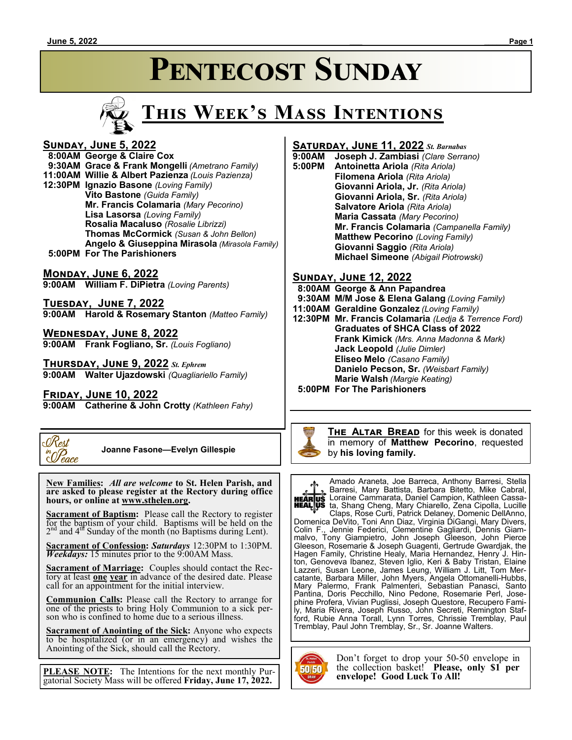# **Pentecost Sunday**



# **This Week's Mass Intentions**

#### **Sunday, June 5, 2022**

 **8:00AM George & Claire Cox 9:30AM Grace & Frank Mongelli** *(Ametrano Family)* **11:00AM Willie & Albert Pazienza** *(Louis Pazienza)* **12:30PM Ignazio Basone** *(Loving Family)* **Vito Bastone** *(Guida Family)* **Mr. Francis Colamaria** *(Mary Pecorino)* **Lisa Lasorsa** *(Loving Family)* **Rosalia Macaluso** *(Rosalie Librizzi)* **Thomas McCormick** *(Susan & John Bellon)* **Angelo & Giuseppina Mirasola** *(Mirasola Family)*  **5:00PM For The Parishioners**

#### **Monday, June 6, 2022**

**9:00AM William F. DiPietra** *(Loving Parents)*

**Tuesday, June 7, 2022 9:00AM Harold & Rosemary Stanton** *(Matteo Family)*

**Wednesday, June 8, 2022 9:00AM Frank Fogliano, Sr.** *(Louis Fogliano)*

**Thursday, June 9, 2022** *St. Ephrem* **9:00AM Walter Ujazdowski** *(Quagliariello Family)*

**Friday, June 10, 2022**

**9:00AM Catherine & John Crotty** *(Kathleen Fahy)*



 **Joanne Fasone—Evelyn Gillespie**

 **New Families:** *All are welcome* **to St. Helen Parish, and are asked to please register at the Rectory during office hours, or online at www.sthelen.org.**

**Sacrament of Baptism:**Please call the Rectory to register for the baptism of your child. Baptisms will be held on the  $2<sup>nd</sup>$  and  $4<sup>df</sup>$  Sunday of the month (no Baptisms during Lent).

**Sacrament of Confession:** *Saturdays* 12:30PM to 1:30PM. *Weekdays:* 15 minutes prior to the 9:00AM Mass.

**Sacrament of Marriage:**Couples should contact the Rectory at least **one year** in advance of the desired date. Please call for an appointment for the initial interview.

**Communion Calls:** Please call the Rectory to arrange for one of the priests to bring Holy Communion to a sick person who is confined to home due to a serious illness.

**Sacrament of Anointing of the Sick:** Anyone who expects to be hospitalized (or in an emergency) and wishes the Anointing of the Sick, should call the Rectory.

**PLEASE NOTE:** The Intentions for the next monthly Purgatorial Society Mass will be offered **Friday, June 17, 2022.**

#### **Saturday, June 11, 2022** *St. Barnabas*

**9:00AM Joseph J. Zambiasi** *(Clare Serrano)* **5:00PM Antoinetta Ariola** *(Rita Ariola)* **Filomena Ariola** *(Rita Ariola)* **Giovanni Ariola, Jr.** *(Rita Ariola)* **Giovanni Ariola, Sr.** *(Rita Ariola)* **Salvatore Ariola** *(Rita Ariola)* **Maria Cassata** *(Mary Pecorino)* **Mr. Francis Colamaria** *(Campanella Family)* **Matthew Pecorino** *(Loving Family)* **Giovanni Saggio** *(Rita Ariola)* **Michael Simeone** *(Abigail Piotrowski)*

#### **Sunday, June 12, 2022**

 **8:00AM George & Ann Papandrea**

- **9:30AM M/M Jose & Elena Galang** *(Loving Family)*
- **11:00AM Geraldine Gonzalez** *(Loving Family)*
- **12:30PM Mr. Francis Colamaria** *(Ledja & Terrence Ford)* **Graduates of SHCA Class of 2022 Frank Kimick** *(Mrs. Anna Madonna & Mark)* **Jack Leopold** *(Julie Dimler)* **Eliseo Melo** *(Casano Family)* **Danielo Pecson, Sr.** *(Weisbart Family)* **Marie Walsh** *(Margie Keating)*

 **5:00PM For The Parishioners**



Amado Araneta, Joe Barreca, Anthony Barresi, Stella Barresi, Mary Battista, Barbara Bitetto, Mike Cabral, Loraine Cammarata, Daniel Campion, Kathleen Cassata, Shang Cheng, Mary Chiarello, Zena Cipolla, Lucille Claps, Rose Curti, Patrick Delaney, Domenic DellAnno, Domenica DeVito, Toni Ann Diaz, Virginia DiGangi, Mary Divers, Colin F., Jennie Federici, Clementine Gagliardi, Dennis Giammalvo, Tony Giampietro, John Joseph Gleeson, John Pierce Gleeson, Rosemarie & Joseph Guagenti, Gertrude Gwardjak, the Hagen Family, Christine Healy, Maria Hernandez, Henry J. Hinton, Genoveva Ibanez, Steven Iglio, Keri & Baby Tristan, Elaine Lazzeri, Susan Leone, James Leung, William J. Litt, Tom Mercatante, Barbara Miller, John Myers, Angela Ottomanelli-Hubbs, Mary Palermo, Frank Palmenteri, Sebastian Panasci, Santo Pantina, Doris Pecchillo, Nino Pedone, Rosemarie Perl, Josephine Profera, Vivian Puglissi, Joseph Questore, Recupero Family, Maria Rivera, Joseph Russo, John Secreti, Remington Stafford, Rubie Anna Torall, Lynn Torres, Chrissie Tremblay, Paul Tremblay, Paul John Tremblay, Sr., Sr. Joanne Walters.



Don't forget to drop your 50-50 envelope in the collection basket! **Please, only \$1 per envelope! Good Luck To All!**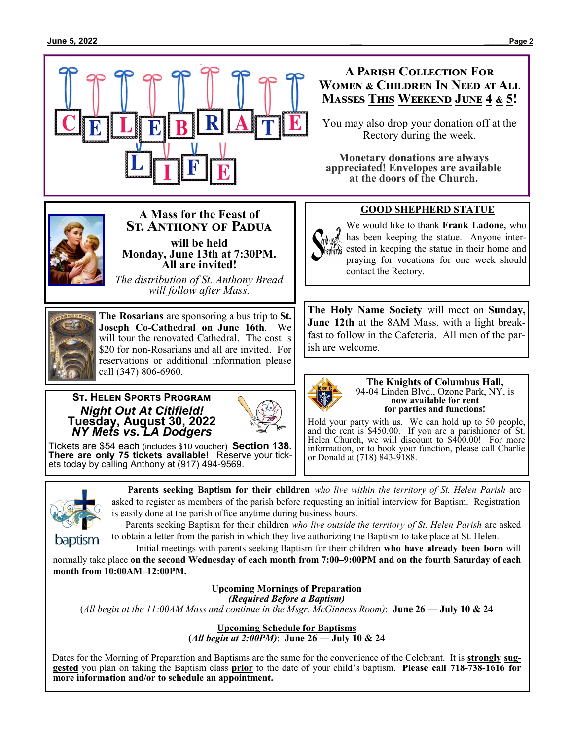

#### **A Parish Collection For Women & Children In Need at All Masses This Weekend June 4 & 5!**

You may also drop your donation off at the Rectory during the week.

**Monetary donations are always appreciated! Envelopes are available at the doors of the Church.**

#### **GOOD SHEPHERD STATUE**

We would like to thank **Frank Ladone,** who has been keeping the statue. Anyone interested in keeping the statue in their home and praying for vocations for one week should contact the Rectory.

**The Holy Name Society** will meet on **Sunday, June 12th** at the 8AM Mass, with a light breakfast to follow in the Cafeteria. All men of the parish are welcome.



**The Knights of Columbus Hall,** 94-04 Linden Blvd., Ozone Park, NY, is **now available for rent for parties and functions!**

Hold your party with us. We can hold up to 50 people, and the rent is \$450.00. If you are a parishioner of St. Helen Church, we will discount to \$400.00! For more information, or to book your function, please call Charlie or Donald at (718) 843-9188.



#### **St. Anthony of Padua will be held Monday, June 13th at 7:30PM. All are invited!**

**A Mass for the Feast of**

*The distribution of St. Anthony Bread will follow after Mass.*



**The Rosarians** are sponsoring a bus trip to **St. Joseph Co-Cathedral on June 16th**. We will tour the renovated Cathedral. The cost is \$20 for non-Rosarians and all are invited. For reservations or additional information please call (347) 806-6960.

#### **St. Helen Sports Program** *Night Out At Citifield!* **Tuesday, August 30, 2022** *NY Mets vs. LA Dodgers*



Tickets are \$54 each (includes \$10 voucher) **Section 138. There are only 75 tickets available!** Reserve your tickets today by calling Anthony at (917) 494-9569.



 **Parents seeking Baptism for their children** *who live within the territory of St. Helen Parish* are asked to register as members of the parish before requesting an initial interview for Baptism. Registration is easily done at the parish office anytime during business hours.

 Parents seeking Baptism for their children *who live outside the territory of St. Helen Parish* are asked to obtain a letter from the parish in which they live authorizing the Baptism to take place at St. Helen.

Initial meetings with parents seeking Baptism for their children **who have already been born** will normally take place **on the second Wednesday of each month from 7:00–9:00PM and on the fourth Saturday of each month from 10:00AM–12:00PM.**

#### **Upcoming Mornings of Preparation**

*(Required Before a Baptism)* 

(*All begin at the 11:00AM Mass and continue in the Msgr. McGinness Room)*: **June 26 — July 10 & 24**

**Upcoming Schedule for Baptisms (***All begin at 2:00PM)*: **June 26 — July 10 & 24**

Dates for the Morning of Preparation and Baptisms are the same for the convenience of the Celebrant. It is **strongly suggested** you plan on taking the Baptism class **prior** to the date of your child's baptism. **Please call 718-738-1616 for more information and/or to schedule an appointment.**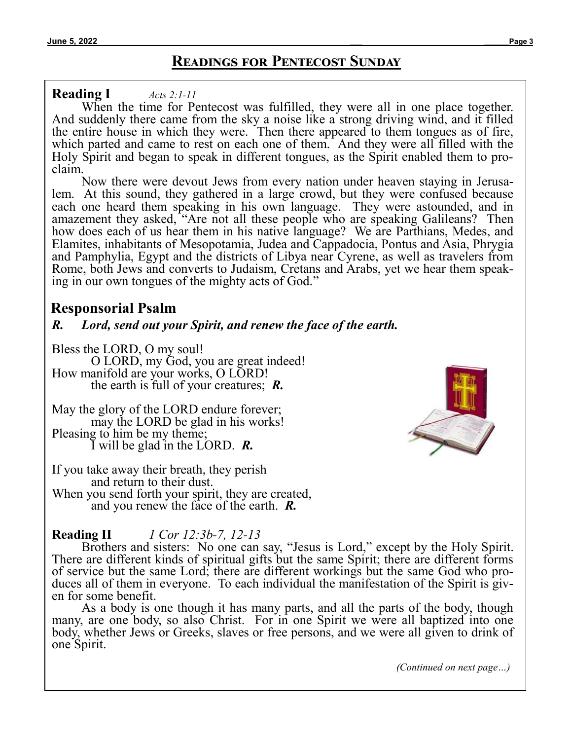# **Readings for Pentecost Sunday**

#### **Reading I** *[Acts 2:1](https://bible.usccb.org/bible/acts/2?1)-11*

When the time for Pentecost was fulfilled, they were all in one place together. And suddenly there came from the sky a noise like a strong driving wind, and it filled the entire house in which they were. Then there appeared to them tongues as of fire, which parted and came to rest on each one of them. And they were all filled with the Holy Spirit and began to speak in different tongues, as the Spirit enabled them to proclaim.

Now there were devout Jews from every nation under heaven staying in Jerusalem. At this sound, they gathered in a large crowd, but they were confused because each one heard them speaking in his own language. They were astounded, and in amazement they asked, "Are not all these people who are speaking Galileans? Then how does each of us hear them in his native language? We are Parthians, Medes, and Elamites, inhabitants of Mesopotamia, Judea and Cappadocia, Pontus and Asia, Phrygia and Pamphylia, Egypt and the districts of Libya near Cyrene, as well as travelers from Rome, both Jews and converts to Judaism, Cretans and Arabs, yet we hear them speaking in our own tongues of the mighty acts of God."

## **Responsorial Psalm**

### *R. Lord, send out your Spirit, and renew the face of the earth.*

Bless the LORD, O my soul! O LORD, my God, you are great indeed! How manifold are your works, O LORD! the earth is full of your creatures; *R.*

May the glory of the LORD endure forever; may the LORD be glad in his works! Pleasing to him be my theme; I will be glad in the LORD. *R.*

If you take away their breath, they perish and return to their dust. When you send forth your spirit, they are created, and you renew the face of the earth. *R.*

# **Reading II** *[1 Cor 12:3b](https://bible.usccb.org/bible/1corinthians/12?3)-7, 12-13*

Brothers and sisters: No one can say, "Jesus is Lord," except by the Holy Spirit. There are different kinds of spiritual gifts but the same Spirit; there are different forms of service but the same Lord; there are different workings but the same God who produces all of them in everyone. To each individual the manifestation of the Spirit is given for some benefit.

As a body is one though it has many parts, and all the parts of the body, though many, are one body, so also Christ. For in one Spirit we were all baptized into one body, whether Jews or Greeks, slaves or free persons, and we were all given to drink of one Spirit.



*(Continued on next page…)*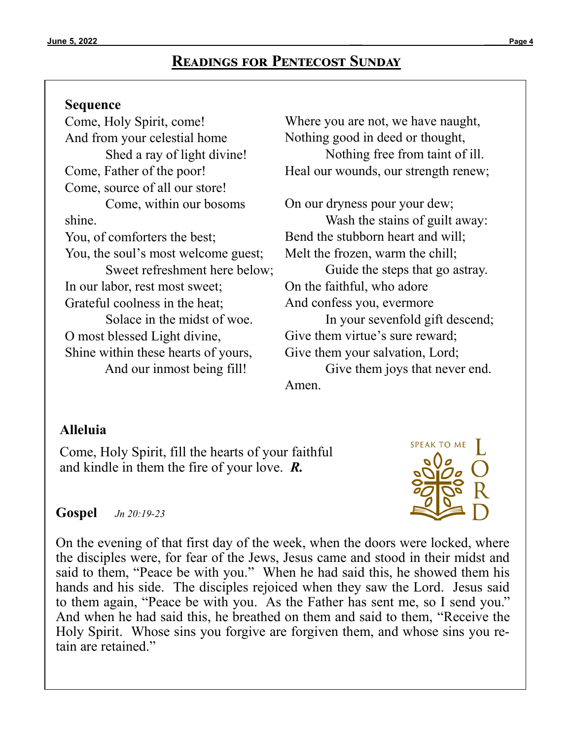# **Readings for Pentecost Sunday**

#### **Sequence**

Come, Holy Spirit, come! And from your celestial home Shed a ray of light divine! Come, Father of the poor! Come, source of all our store! Come, within our bosoms shine. You, of comforters the best; You, the soul's most welcome guest; Sweet refreshment here below; In our labor, rest most sweet; Grateful coolness in the heat; Solace in the midst of woe. O most blessed Light divine, Shine within these hearts of yours, And our inmost being fill!

Where you are not, we have naught, Nothing good in deed or thought, Nothing free from taint of ill. Heal our wounds, our strength renew;

On our dryness pour your dew; Wash the stains of guilt away: Bend the stubborn heart and will; Melt the frozen, warm the chill; Guide the steps that go astray. On the faithful, who adore And confess you, evermore In your sevenfold gift descend; Give them virtue's sure reward; Give them your salvation, Lord; Give them joys that never end. Amen.

## **Alleluia**

Come, Holy Spirit, fill the hearts of your faithful and kindle in them the fire of your love. *R.*



**Gospel** *[Jn 20:19](https://bible.usccb.org/bible/john/20?19)-23*

On the evening of that first day of the week, when the doors were locked, where the disciples were, for fear of the Jews, Jesus came and stood in their midst and said to them, "Peace be with you." When he had said this, he showed them his hands and his side. The disciples rejoiced when they saw the Lord. Jesus said to them again, "Peace be with you. As the Father has sent me, so I send you." And when he had said this, he breathed on them and said to them, "Receive the Holy Spirit. Whose sins you forgive are forgiven them, and whose sins you retain are retained."